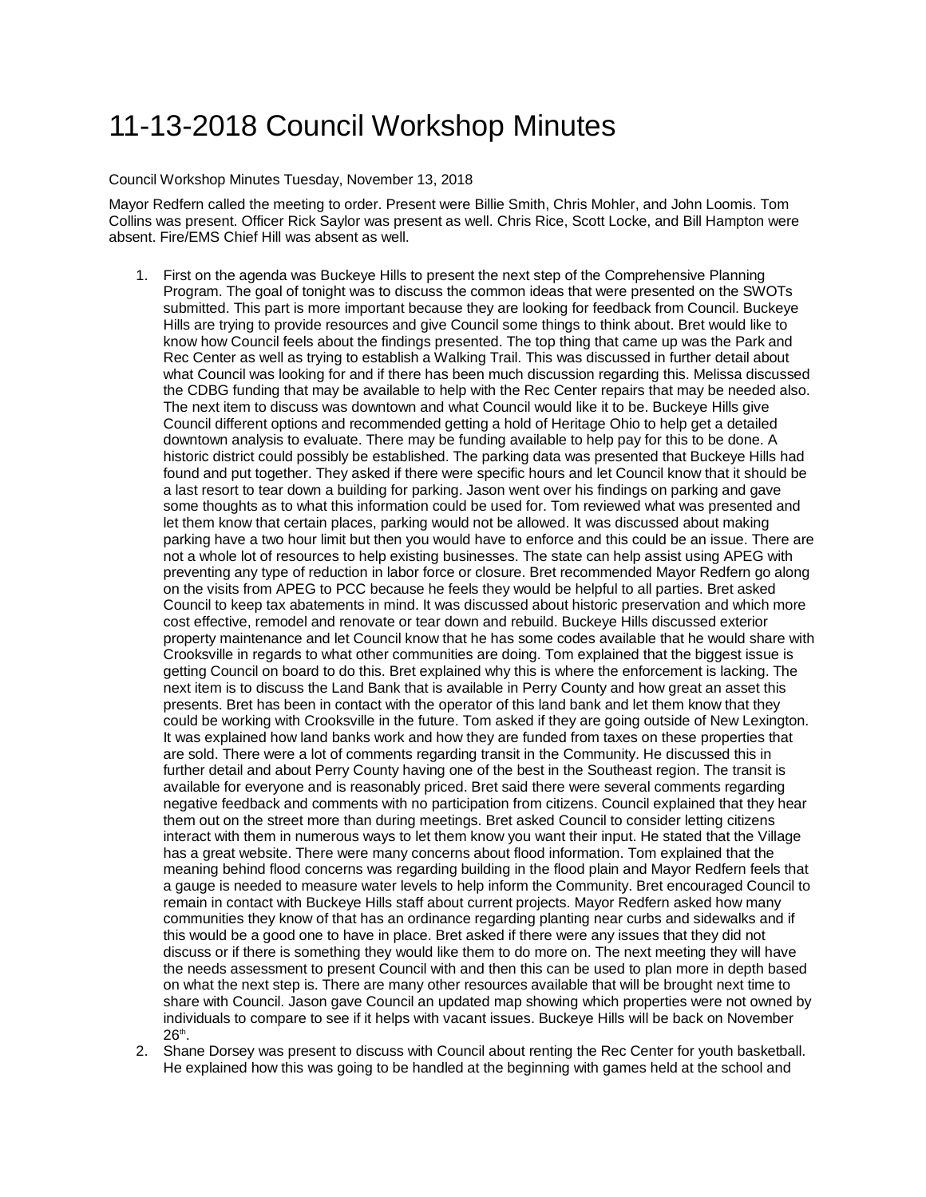## 11-13-2018 Council Workshop Minutes

Council Workshop Minutes Tuesday, November 13, 2018

Mayor Redfern called the meeting to order. Present were Billie Smith, Chris Mohler, and John Loomis. Tom Collins was present. Officer Rick Saylor was present as well. Chris Rice, Scott Locke, and Bill Hampton were absent. Fire/EMS Chief Hill was absent as well.

- 1. First on the agenda was Buckeye Hills to present the next step of the Comprehensive Planning Program. The goal of tonight was to discuss the common ideas that were presented on the SWOTs submitted. This part is more important because they are looking for feedback from Council. Buckeye Hills are trying to provide resources and give Council some things to think about. Bret would like to know how Council feels about the findings presented. The top thing that came up was the Park and Rec Center as well as trying to establish a Walking Trail. This was discussed in further detail about what Council was looking for and if there has been much discussion regarding this. Melissa discussed the CDBG funding that may be available to help with the Rec Center repairs that may be needed also. The next item to discuss was downtown and what Council would like it to be. Buckeye Hills give Council different options and recommended getting a hold of Heritage Ohio to help get a detailed downtown analysis to evaluate. There may be funding available to help pay for this to be done. A historic district could possibly be established. The parking data was presented that Buckeye Hills had found and put together. They asked if there were specific hours and let Council know that it should be a last resort to tear down a building for parking. Jason went over his findings on parking and gave some thoughts as to what this information could be used for. Tom reviewed what was presented and let them know that certain places, parking would not be allowed. It was discussed about making parking have a two hour limit but then you would have to enforce and this could be an issue. There are not a whole lot of resources to help existing businesses. The state can help assist using APEG with preventing any type of reduction in labor force or closure. Bret recommended Mayor Redfern go along on the visits from APEG to PCC because he feels they would be helpful to all parties. Bret asked Council to keep tax abatements in mind. It was discussed about historic preservation and which more cost effective, remodel and renovate or tear down and rebuild. Buckeye Hills discussed exterior property maintenance and let Council know that he has some codes available that he would share with Crooksville in regards to what other communities are doing. Tom explained that the biggest issue is getting Council on board to do this. Bret explained why this is where the enforcement is lacking. The next item is to discuss the Land Bank that is available in Perry County and how great an asset this presents. Bret has been in contact with the operator of this land bank and let them know that they could be working with Crooksville in the future. Tom asked if they are going outside of New Lexington. It was explained how land banks work and how they are funded from taxes on these properties that are sold. There were a lot of comments regarding transit in the Community. He discussed this in further detail and about Perry County having one of the best in the Southeast region. The transit is available for everyone and is reasonably priced. Bret said there were several comments regarding negative feedback and comments with no participation from citizens. Council explained that they hear them out on the street more than during meetings. Bret asked Council to consider letting citizens interact with them in numerous ways to let them know you want their input. He stated that the Village has a great website. There were many concerns about flood information. Tom explained that the meaning behind flood concerns was regarding building in the flood plain and Mayor Redfern feels that a gauge is needed to measure water levels to help inform the Community. Bret encouraged Council to remain in contact with Buckeye Hills staff about current projects. Mayor Redfern asked how many communities they know of that has an ordinance regarding planting near curbs and sidewalks and if this would be a good one to have in place. Bret asked if there were any issues that they did not discuss or if there is something they would like them to do more on. The next meeting they will have the needs assessment to present Council with and then this can be used to plan more in depth based on what the next step is. There are many other resources available that will be brought next time to share with Council. Jason gave Council an updated map showing which properties were not owned by individuals to compare to see if it helps with vacant issues. Buckeye Hills will be back on November  $26<sup>th</sup>$
- 2. Shane Dorsey was present to discuss with Council about renting the Rec Center for youth basketball. He explained how this was going to be handled at the beginning with games held at the school and